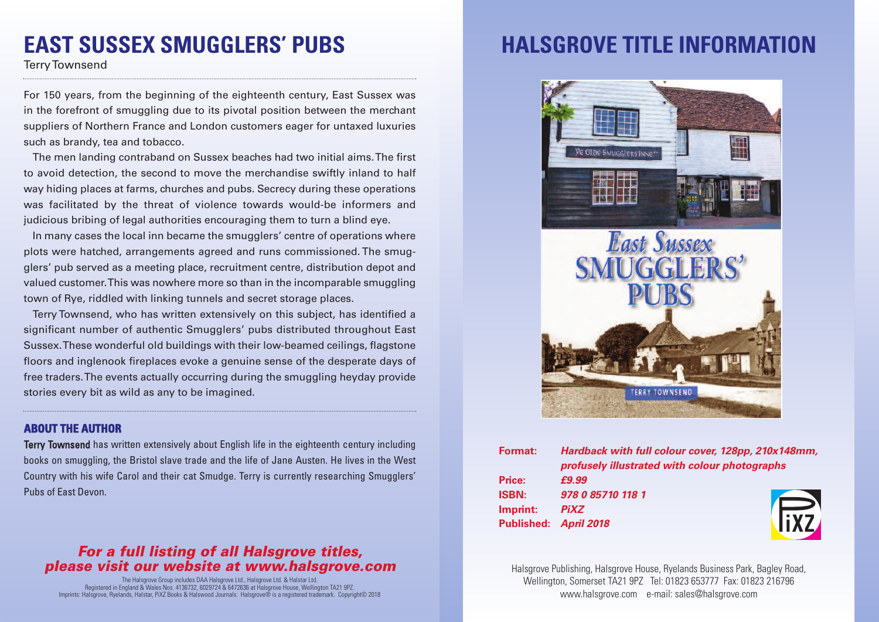## **EAST SUSSEX SMUGGLERS' PUBS**

TerryTownsend

For 150 years, from the beginning of the eighteenth century, East Sussex was in the forefront of smuggling due to its pivotal position between the merchant suppliers of Northern France and London customers eager for untaxed luxuries such as brandy, tea and tobacco.

The men landing contraband on Sussex beaches had two initial aims.The first to avoid detection, the second to move the merchandise swiftly inland to half way hiding places at farms, churches and pubs. Secrecy during these operations was facilitated by the threat of violence towards would-be informers and judicious bribing of legal authorities encouraging them to turn a blind eye.

In many cases the local inn became the smugglers' centre of operations where plots were hatched, arrangements agreed and runs commissioned. The smugglers' pub served as a meeting place, recruitment centre, distribution depot and valued customer.This was nowhere more so than in the incomparable smuggling town of Rye, riddled with linking tunnels and secret storage places.

Terry Townsend, who has written extensively on this subject, has identified a significant number of authentic Smugglers' pubs distributed throughout East Sussex.These wonderful old buildings with their low-beamed ceilings, flagstone floors and inglenook fireplaces evoke a genuine sense of the desperate days of free traders.The events actually occurring during the smuggling heyday provide stories every bit as wild as any to be imagined.

#### **ABOUT THE AUTHOR**

Terry Townsend has written extensively about English life in the eighteenth century including books on smuggling, the Bristol slave trade and the life of Jane Austen. He lives in the West Country with his wife Carol and their cat Smudge. Terry is currently researching Smugglers' Pubs of East Devon.

### *For a full listing of all Halsgrove titles, please visit our website at www.halsgrove.com*

The Halsgrove Group includes DAA Halsgrove Ltd., Halsgrove Ltd. & Halstar Ltd. Registered in England & Wales Nos. 4136732, 6029724 & 6472636 at Halsgrove House, Wellington TA21 9PZ. Imprints: Halsgrove, Ryelands, Halstar, PiXZ Books & Halswood Journals. Halsgrove® is a registered trademark. Copyright© 2018

# **HALSGROVE TITLE INFORMATION**



| <b>Format:</b> | Hardback with full colour cover, 128pp, 210x148mm,<br>profusely illustrated with colour photographs |       |
|----------------|-----------------------------------------------------------------------------------------------------|-------|
|                |                                                                                                     |       |
| Price:         | £9.99                                                                                               |       |
| <b>ISBN:</b>   | 978 0 85710 118 1                                                                                   |       |
| Imprint:       | <b>PiXZ</b>                                                                                         |       |
|                | Published: April 2018                                                                               | liX7, |

Halsgrove Publishing, Halsgrove House, Ryelands Business Park, Bagley Road, Wellington, Somerset TA21 9PZ Tel: 01823 653777 Fax: 01823 216796 www.halsgrove.com e-mail: sales@halsgrove.com